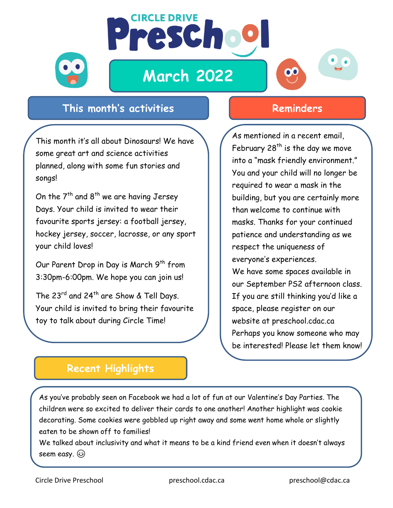

**March 2022**

**CIRCLE DRIVE** 

Prescho

# $\mathbf{O}$

### **This month's activities Reminders**

This month it's all about Dinosaurs! We have some great art and science activities planned, along with some fun stories and songs!

On the  $7<sup>th</sup>$  and  $8<sup>th</sup>$  we are having Jersey Days. Your child is invited to wear their favourite sports jersey: a football jersey, hockey jersey, soccer, lacrosse, or any sport your child loves!

Our Parent Drop in Day is March 9<sup>th</sup> from 3:30pm-6:00pm. We hope you can join us!

The 23<sup>rd</sup> and 24<sup>th</sup> are Show & Tell Days. Your child is invited to bring their favourite toy to talk about during Circle Time!

As mentioned in a recent email, February  $28<sup>th</sup>$  is the day we move into a "mask friendly environment." You and your child will no longer be required to wear a mask in the building, but you are certainly more than welcome to continue with masks. Thanks for your continued patience and understanding as we respect the uniqueness of everyone's experiences. We have some spaces available in

our September PS2 afternoon class. If you are still thinking you'd like a space, please register on our website at preschool.cdac.ca Perhaps you know someone who may be interested! Please let them know!

## **Recent Highlights**

As you've probably seen on Facebook we had a lot of fun at our Valentine's Day Parties. The children were so excited to deliver their cards to one another! Another highlight was cookie decorating. Some cookies were gobbled up right away and some went home whole or slightly eaten to be shown off to families!

We talked about inclusivity and what it means to be a kind friend even when it doesn't always seem easy.

These concepts are especially important as we move through this pandemic together.